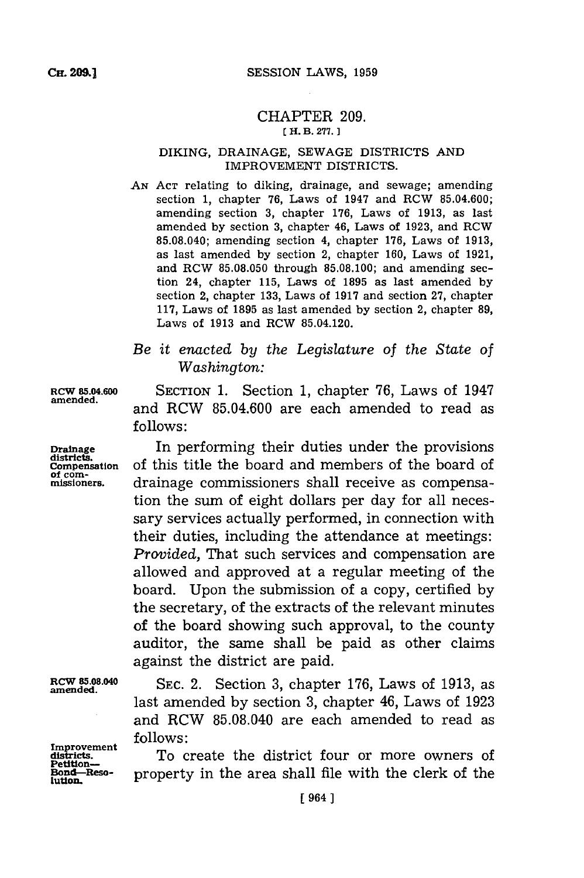#### CHAPTER **209.** *[* **H. B. 277.)1**

### DIKING, DRAINAGE, **SEWAGE** DISTRICTS **AND** IMPROVEMENT DISTRICTS.

- **AN ACT** relating to diking, drainage, and sewage; amending section **1,** chapter **76,** Laws of 1947 and RCW **85.04.600;** amending section **3,** chapter **176,** Laws of **1913,** as last amended **by** section **3,** chapter 46, Laws of **1923,** and RCW **85.08.040;** amending section 4, chapter **176,** Laws of **1913,** as last amended **by** section 2, chapter **160,** Laws of **1921,** and RCW **85.08.050** through **85.08.100;** and amending section 24, chapter **115,** Laws of **1895** as last amended **by** section 2, chapter **133,** Laws of **1917** and section **27,** chapter **117,** Laws of **1895** as last amended **by** section 2, chapter **89,** Laws of **1913** and RCW 85.04.120.
- *Be it enacted by the Legislature of the State of Washington:*

SECTION **1.** Section **1,** chapter **76,** Laws of 1947 and RCW **85.04.600** are each amended to read as **follows:**

In performing their duties under the provisions of this title the board and members of the board of drainage commissioners shall receive as compensation the sum of eight dollars per day for all necessary services actually performed, in connection with their duties, including the attendance at meetings: *Provided,* That such services and compensation are allowed and approved at a regular meeting of the board. Upon the submission of a copy, certified **by** the secretary, of the extracts of the relevant minutes of the board showing such approval, to the county auditor, the same shall be paid as other claims against the district are paid.

**RCW 85.08.040 amended.**

**Improvement districts. Petition-Bond-Reso-tution.**

**SEC.** 2. Section **3,** chapter **176,** Laws of **1913,** as last amended **by** section **3,** chapter 46, Laws of **1923** and RCW **85.08.040** are each amended to read as **follows:**

To create the district four or more owners of property in the area shall file with the clerk of the

Drainage districts.

Compensation<br>of com**of** *com- missioners.*

**RCW 85.04.600 amended.**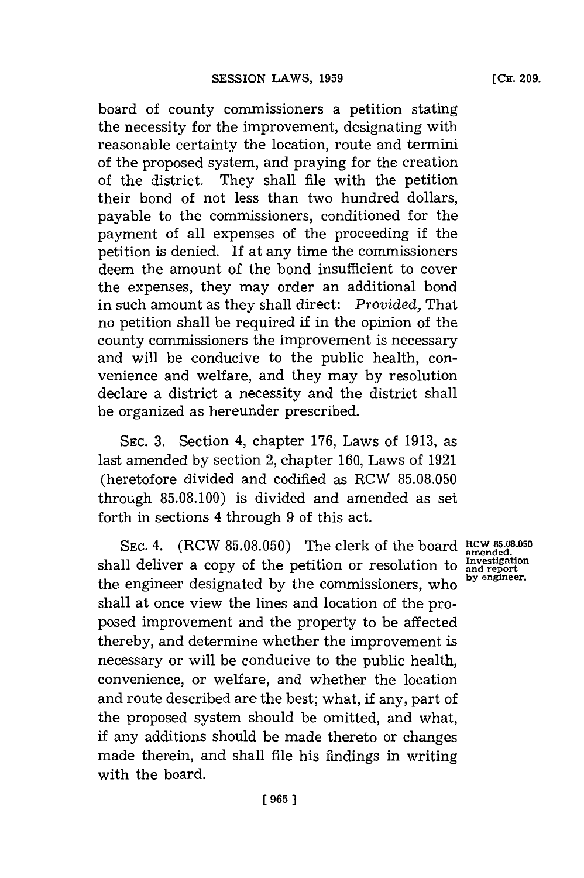board of county commissioners a petition stating the necessity for the improvement, designating with reasonable certainty the location, route and termini of the proposed system, and praying for the creation of the district. They shall file with the petition their bond of not less than two hundred dollars, payable to the commissioners, conditioned for the payment of all expenses of the proceeding if the petition is denied. If at any time the commissioners deem the amount of the bond insufficient to cover the expenses, they may order an additional bond in such amount as they shall direct: *Provided,* That no petition shall be required **if** in the opinion of the county commissioners the improvement is necessary and will be conducive to the public health, convenience and welfare, and they may **by** resolution declare a district a necessity and the district shall be organized as hereunder prescribed.

**SEC. 3.** Section 4, chapter **176,** Laws of **1913,** as last amended **by** section 2, chapter **160,** Laws of **1921** (heretofore divided and codified as RCW **85.08.050** through **85.08.100)** is divided and amended as set forth in sections 4 through **9** of this act.

**SEC.** 4. (RCW **85.08.050)** The clerk of the board **RCW 85.08.050** shall deliver a copy of the petition or resolution to **Investigal** the engineer designated by the commissioners, who **by engineer**. shall at once view the lines and location of the proposed improvement and the property to be affected thereby, and determine whether the improvement is necessary or will be conducive to the public health, convenience, or welfare, and whether the location and route described are the best; what, if any, part of the proposed system should be omitted, and what, if any additions should be made thereto or changes made therein, and shall file his findings in writing with the board.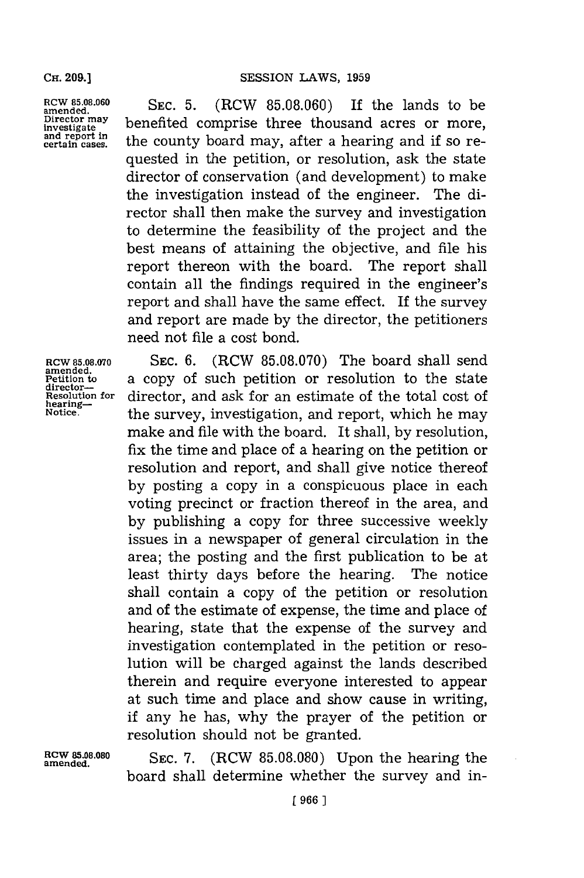**RCW 85.08.060** amended.<br>Director may **Director mnay investigate and report in certain cases.**

**SEC. 5.** (RCW **85.08.060)** If the lands to be benefited comprise three thousand acres or more, the county board may, after a hearing and if so requested in the petition, or resolution, ask the state director of conservation (and development) to make the investigation instead of the engineer. The director shall then make the survey and investigation to determine the feasibility of the project and the best means of attaining the objective, and file his report thereon with the board. The report shall contain all the findings required in the engineer's report and shall have the same effect. If the survey and report are made **by** the director, the petitioners need not file a cost bond.

**RCW 85.08.00 amended. Petition to director-Resolution for hearing-Notice.**

**SEC. 6.** (RCW **85.08.070)** The board shall send a copy of such petition or resolution to the state director, and ask **for** an estimate of the total cost of the survey, investigation, and report, which he may make and file with the board. It shall, **by** resolution, fix the time and place of a hearing on the petition or resolution and report, and shall give notice thereof **by** posting a copy in a conspicuous place in each voting precinct or fraction thereof in the area, and **by** publishing a copy for three successive weekly issues in a newspaper of general circulation in the area; the posting and the first publication to be at least thirty days before the hearing. The notice shall contain a copy of the petition or resolution and of the estimate of expense, the time and place of hearing, state that the expense of the survey and investigation contemplated in the petition or resolution will be charged against the lands described therein and require everyone interested to appear at such time and place and show cause in writing, if any he has, why the prayer of the petition or resolution should not be granted.

**RCW 85.08.080 SEC. 7.** (RCW 85.08.080) Upon the hearing the board shall determine whether the survey and in-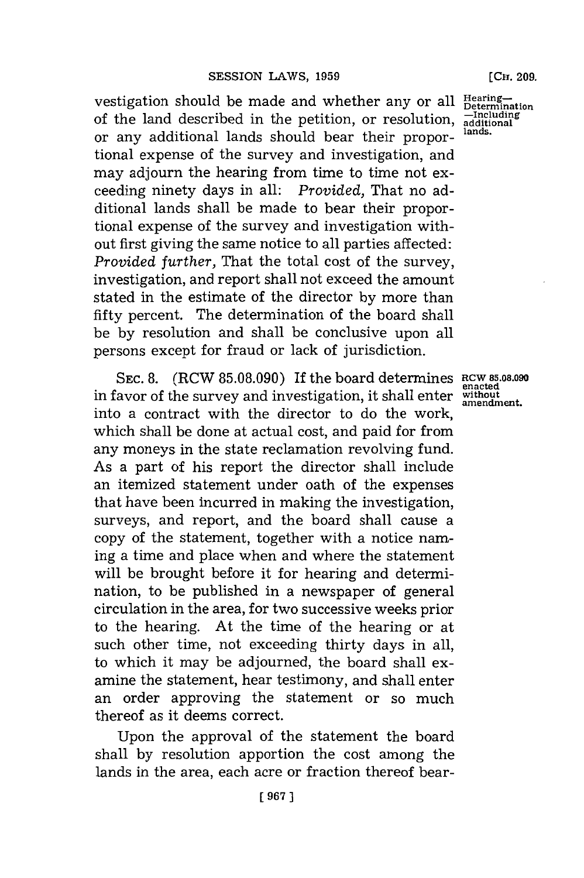vestigation should be made and whether any or all **Hearing**of the land described in the petition, or resolution, **-Including additional** or any additional lands should bear their proportional expense of the survey and investigation, and may adjourn the hearing from time to time not exceeding ninety days in all: *Provided,* That no additional lands shall be made to bear their proportional expense of the survey and investigation without first giving the same notice to all parties affected: *Provided further,* That the total cost of the survey, investigation, and report shall not exceed the amount stated in the estimate of the director **by** more than fifty percent. The determination of the board shall be **by** resolution and shall be conclusive upon all persons except for fraud or lack of jurisdiction.

SEC. 8. (RCW 85.08.090) If the board determines RCW 85.08.090 in favor of the survey and investigation, it shall enter **without amendment.**into a contract with the director to do the work, which shall be done at actual cost, and paid for from any moneys in the state reclamation revolving fund. As a part of his report the director shall include an itemized statement under oath of the expenses that have been incurred in making the investigation, surveys, and report, and the board shall cause a copy of the statement, together with a notice naming a time and place when and where the statement will be brought before it for hearing and determination, to be published in a newspaper of general circulation in the area, for two successive weeks prior to the hearing. At the time of the hearing or at such other time, not exceeding thirty days in all, to which it may be adjourned, the board shall examine the statement, hear testimony, and shall enter an order approving the statement or so much thereof as it deems correct.

Upon the approval of the statement the board shall **by** resolution apportion the cost among the lands in the area, each acre or fraction thereof bear-

**lands.**

**en~acted**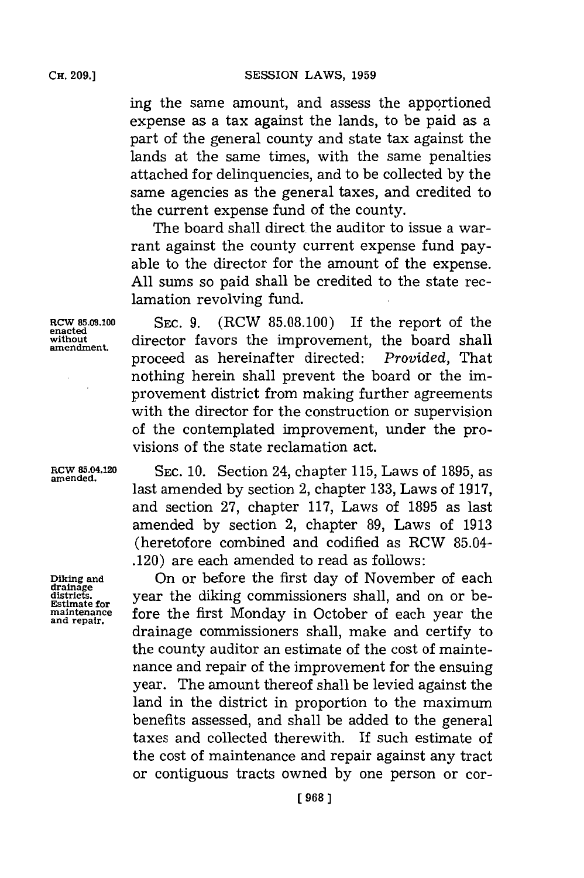ing the same amount, and assess the apportioned expense as a tax against the lands, to be paid as a part of the general county and state tax against the lands at the same times, with the same penalties attached **for** delinquencies, and to be collected **by** the same agencies as the general taxes, and credited to the current expense fund of the county.

The board shall direct. the auditor to issue a warrant against the county current expense fund payable to the director for the amount of the expense. **All** sums so paid shall be credited to the state reclamation revolving fund.

**Row 85.08.100 SEC. 9.** (RCW **85.08.100)** If the report of the **w.ithout** director favors the improvement, the board shall proceed as hereinafter directed: *Provided,* That nothing herein shall prevent the board or the improvement district from making further agreements with the director for the construction or supervision of the contemplated improvement, under the provisions of the state reclamation act.

**RCW 85.04.120 SEC. 10.** Section 24, chapter **115,** Laws of **1895,** as **amended.** last amended **by** section 2, chapter **133,** Laws of **1917,** and section **27,** chapter **117,** Laws of **1895** as last amended **by** section 2, chapter **89,** Laws of **1913** (heretofore combined and codified as RCW 85.04- .120) are each amended to read as follows:

**Diking and** On or before the first day of November of each districts. *districts* year the diking commissioners shall, and on or be-<br>Estimate for **fore** the first Monday in October of each year the drainage commissioners shall, make and certify to the county auditor an estimate of the cost of maintenance and repair of the improvement for the ensuing year. The amount thereof shall be levied against the land in the district in proportion to the maximum benefits assessed, and shall be added to the general taxes and collected therewith. If such estimate of the cost of maintenance and repair against any tract or contiguous tracts owned **by** one person or cor-

**amendment.**

**drainage and repair.**